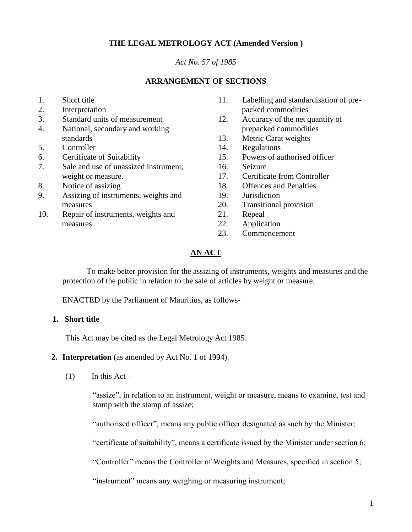# **THE LEGAL METROLOGY ACT (Amended Version )**

#### *Act No. 57 of 1985*

#### **ARRANGEMENT OF SECTIONS**

- 1. Short title
- 2. Interpretation
- 3. Standard units of measurement
- 4. National, secondary and working standards
- 5. Controller
- 6. Certificate of Suitability
- 7. Sale and use of unassized instrument, weight or measure.
- 8. Notice of assizing
- 9. Assizing of instruments, weights and measures
- 10. Repair of instruments, weights and measures
- 11. Labelling and standardisation of prepacked commodities
- 12. Accuracy of the net quantity of prepacked commodities
- 13. Metric Carat weights
- 14. Regulations
- 15. Powers of authorised officer
- 16. Seizure
- 17. Certificate from Controller
- 18. Offences and Penalties
- 19. Jurisdiction
- 20. Transitional provision
- 21. Repeal
- 22. Application
- 23. Commencement

#### **AN ACT**

To make better provision for the assizing of instruments, weights and measures and the protection of the public in relation to the sale of articles by weight or measure.

ENACTED by the Parliament of Mauritius, as follows-

### **1. Short title**

This Act may be cited as the Legal Metrology Act 1985.

- **2. Interpretation** (as amended by Act No. 1 of 1994).
	- $(1)$  In this Act –

"assize", in relation to an instrument, weight or measure, means to examine, test and stamp with the stamp of assize;

"authorised officer", means any public officer designated as such by the Minister;

"certificate of suitability", means a certificate issued by the Minister under section 6;

"Controller" means the Controller of Weights and Measures, specified in section 5;

"instrument" means any weighing or measuring instrument;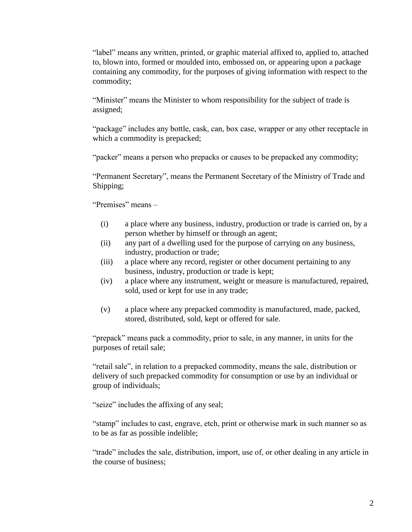"label" means any written, printed, or graphic material affixed to, applied to, attached to, blown into, formed or moulded into, embossed on, or appearing upon a package containing any commodity, for the purposes of giving information with respect to the commodity;

"Minister" means the Minister to whom responsibility for the subject of trade is assigned;

"package" includes any bottle, cask, can, box case, wrapper or any other receptacle in which a commodity is prepacked;

"packer" means a person who prepacks or causes to be prepacked any commodity;

"Permanent Secretary", means the Permanent Secretary of the Ministry of Trade and Shipping;

"Premises" means –

- (i) a place where any business, industry, production or trade is carried on, by a person whether by himself or through an agent;
- (ii) any part of a dwelling used for the purpose of carrying on any business, industry, production or trade;
- (iii) a place where any record, register or other document pertaining to any business, industry, production or trade is kept;
- (iv) a place where any instrument, weight or measure is manufactured, repaired, sold, used or kept for use in any trade;
- (v) a place where any prepacked commodity is manufactured, made, packed, stored, distributed, sold, kept or offered for sale.

"prepack" means pack a commodity, prior to sale, in any manner, in units for the purposes of retail sale;

"retail sale", in relation to a prepacked commodity, means the sale, distribution or delivery of such prepacked commodity for consumption or use by an individual or group of individuals;

"seize" includes the affixing of any seal;

"stamp" includes to cast, engrave, etch, print or otherwise mark in such manner so as to be as far as possible indelible;

"trade" includes the sale, distribution, import, use of, or other dealing in any article in the course of business;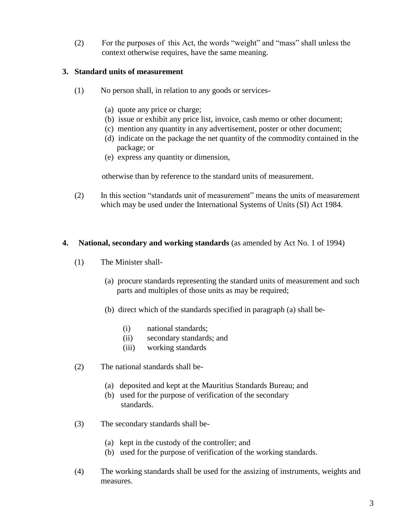(2) For the purposes of this Act, the words "weight" and "mass" shall unless the context otherwise requires, have the same meaning.

### **3. Standard units of measurement**

- (1) No person shall, in relation to any goods or services-
	- (a) quote any price or charge;
	- (b) issue or exhibit any price list, invoice, cash memo or other document;
	- (c) mention any quantity in any advertisement, poster or other document;
	- (d) indicate on the package the net quantity of the commodity contained in the package; or
	- (e) express any quantity or dimension,

otherwise than by reference to the standard units of measurement.

(2) In this section "standards unit of measurement" means the units of measurement which may be used under the International Systems of Units (SI) Act 1984.

#### **4. National, secondary and working standards** (as amended by Act No. 1 of 1994)

- (1) The Minister shall-
	- (a) procure standards representing the standard units of measurement and such parts and multiples of those units as may be required;
	- (b) direct which of the standards specified in paragraph (a) shall be-
		- (i) national standards;
		- (ii) secondary standards; and
		- (iii) working standards
- (2) The national standards shall be-
	- (a) deposited and kept at the Mauritius Standards Bureau; and
	- (b) used for the purpose of verification of the secondary standards.
- (3) The secondary standards shall be-
	- (a) kept in the custody of the controller; and
	- (b) used for the purpose of verification of the working standards.
- (4) The working standards shall be used for the assizing of instruments, weights and measures.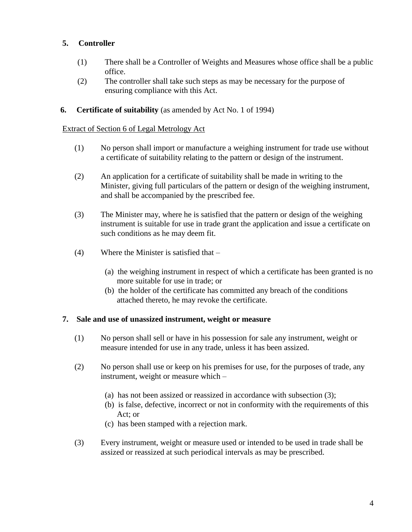# **5. Controller**

- (1) There shall be a Controller of Weights and Measures whose office shall be a public office.
- (2) The controller shall take such steps as may be necessary for the purpose of ensuring compliance with this Act.

### **6. Certificate of suitability** (as amended by Act No. 1 of 1994)

#### Extract of Section 6 of Legal Metrology Act

- (1) No person shall import or manufacture a weighing instrument for trade use without a certificate of suitability relating to the pattern or design of the instrument.
- (2) An application for a certificate of suitability shall be made in writing to the Minister, giving full particulars of the pattern or design of the weighing instrument, and shall be accompanied by the prescribed fee.
- (3) The Minister may, where he is satisfied that the pattern or design of the weighing instrument is suitable for use in trade grant the application and issue a certificate on such conditions as he may deem fit.
- (4) Where the Minister is satisfied that
	- (a) the weighing instrument in respect of which a certificate has been granted is no more suitable for use in trade; or
	- (b) the holder of the certificate has committed any breach of the conditions attached thereto, he may revoke the certificate.

#### **7. Sale and use of unassized instrument, weight or measure**

- (1) No person shall sell or have in his possession for sale any instrument, weight or measure intended for use in any trade, unless it has been assized.
- (2) No person shall use or keep on his premises for use, for the purposes of trade, any instrument, weight or measure which –
	- (a) has not been assized or reassized in accordance with subsection (3);
	- (b) is false, defective, incorrect or not in conformity with the requirements of this Act; or
	- (c) has been stamped with a rejection mark.
- (3) Every instrument, weight or measure used or intended to be used in trade shall be assized or reassized at such periodical intervals as may be prescribed.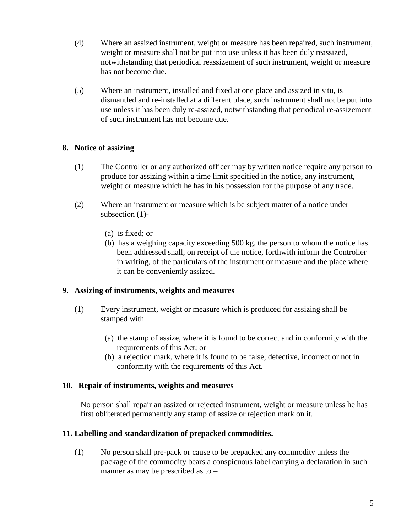- (4) Where an assized instrument, weight or measure has been repaired, such instrument, weight or measure shall not be put into use unless it has been duly reassized, notwithstanding that periodical reassizement of such instrument, weight or measure has not become due.
- (5) Where an instrument, installed and fixed at one place and assized in situ, is dismantled and re-installed at a different place, such instrument shall not be put into use unless it has been duly re-assized, notwithstanding that periodical re-assizement of such instrument has not become due.

# **8. Notice of assizing**

- (1) The Controller or any authorized officer may by written notice require any person to produce for assizing within a time limit specified in the notice, any instrument, weight or measure which he has in his possession for the purpose of any trade.
- (2) Where an instrument or measure which is be subject matter of a notice under subsection (1)-
	- (a) is fixed; or
	- (b) has a weighing capacity exceeding 500 kg, the person to whom the notice has been addressed shall, on receipt of the notice, forthwith inform the Controller in writing, of the particulars of the instrument or measure and the place where it can be conveniently assized.

# **9. Assizing of instruments, weights and measures**

- (1) Every instrument, weight or measure which is produced for assizing shall be stamped with
	- (a) the stamp of assize, where it is found to be correct and in conformity with the requirements of this Act; or
	- (b) a rejection mark, where it is found to be false, defective, incorrect or not in conformity with the requirements of this Act.

#### **10. Repair of instruments, weights and measures**

No person shall repair an assized or rejected instrument, weight or measure unless he has first obliterated permanently any stamp of assize or rejection mark on it.

# **11. Labelling and standardization of prepacked commodities.**

(1) No person shall pre-pack or cause to be prepacked any commodity unless the package of the commodity bears a conspicuous label carrying a declaration in such manner as may be prescribed as to –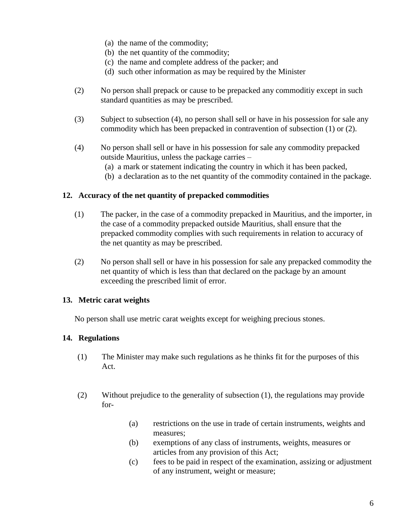- (a) the name of the commodity;
- (b) the net quantity of the commodity;
- (c) the name and complete address of the packer; and
- (d) such other information as may be required by the Minister
- (2) No person shall prepack or cause to be prepacked any commoditiy except in such standard quantities as may be prescribed.
- (3) Subject to subsection (4), no person shall sell or have in his possession for sale any commodity which has been prepacked in contravention of subsection (1) or (2).
- (4) No person shall sell or have in his possession for sale any commodity prepacked outside Mauritius, unless the package carries –
	- (a) a mark or statement indicating the country in which it has been packed,
	- (b) a declaration as to the net quantity of the commodity contained in the package.

### **12. Accuracy of the net quantity of prepacked commodities**

- (1) The packer, in the case of a commodity prepacked in Mauritius, and the importer, in the case of a commodity prepacked outside Mauritius, shall ensure that the prepacked commodity complies with such requirements in relation to accuracy of the net quantity as may be prescribed.
- (2) No person shall sell or have in his possession for sale any prepacked commodity the net quantity of which is less than that declared on the package by an amount exceeding the prescribed limit of error.

#### **13. Metric carat weights**

No person shall use metric carat weights except for weighing precious stones.

# **14. Regulations**

- (1) The Minister may make such regulations as he thinks fit for the purposes of this Act.
- (2) Without prejudice to the generality of subsection (1), the regulations may provide for-
	- (a) restrictions on the use in trade of certain instruments, weights and measures;
	- (b) exemptions of any class of instruments, weights, measures or articles from any provision of this Act;
	- (c) fees to be paid in respect of the examination, assizing or adjustment of any instrument, weight or measure;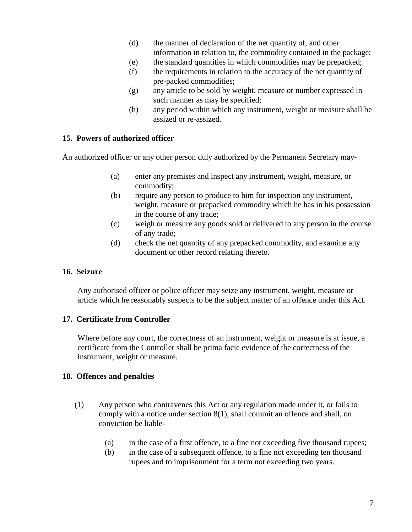- (d) the manner of declaration of the net quantity of, and other information in relation to, the commodity contained in the package;
- (e) the standard quantities in which commodities may be prepacked;
- (f) the requirements in relation to the accuracy of the net quantity of pre-packed commodities;
- (g) any article to be sold by weight, measure or number expressed in such manner as may be specified;
- (h) any period within which any instrument, weight or measure shall be assized or re-assized.

# **15. Powers of authorized officer**

An authorized officer or any other person duly authorized by the Permanent Secretary may-

- (a) enter any premises and inspect any instrument, weight, measure, or commodity;
- (b) require any person to produce to him for inspection any instrument, weight, measure or prepacked commodity which he has in his possession in the course of any trade;
- (c) weigh or measure any goods sold or delivered to any person in the course of any trade;
- (d) check the net quantity of any prepacked commodity, and examine any document or other record relating thereto.

# **16. Seizure**

Any authorised officer or police officer may seize any instrument, weight, measure or article which he reasonably suspects to be the subject matter of an offence under this Act.

# **17. Certificate from Controller**

Where before any court, the correctness of an instrument, weight or measure is at issue, a certificate from the Controller shall be prima facie evidence of the correctness of the instrument, weight or measure.

# **18. Offences and penalties**

- (1) Any person who contravenes this Act or any regulation made under it, or fails to comply with a notice under section 8(1), shall commit an offence and shall, on conviction be liable-
	- (a) in the case of a first offence, to a fine not exceeding five thousand rupees;
	- (b) in the case of a subsequent offence, to a fine not exceeding ten thousand rupees and to imprisonment for a term not exceeding two years.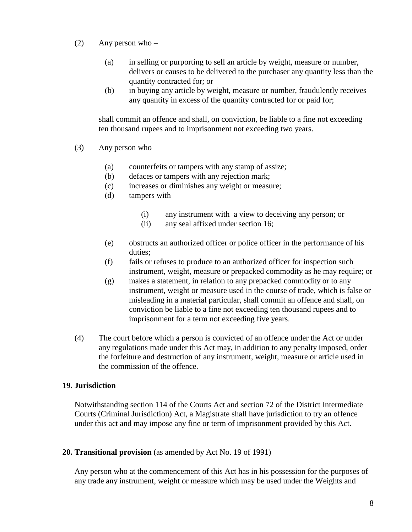- (2) Any person who
	- (a) in selling or purporting to sell an article by weight, measure or number, delivers or causes to be delivered to the purchaser any quantity less than the quantity contracted for; or
	- (b) in buying any article by weight, measure or number, fraudulently receives any quantity in excess of the quantity contracted for or paid for;

shall commit an offence and shall, on conviction, be liable to a fine not exceeding ten thousand rupees and to imprisonment not exceeding two years.

- (3) Any person who  $-$ 
	- (a) counterfeits or tampers with any stamp of assize;
	- (b) defaces or tampers with any rejection mark;
	- (c) increases or diminishes any weight or measure;
	- (d) tampers with  $-$ 
		- (i) any instrument with a view to deceiving any person; or
		- (ii) any seal affixed under section 16;
	- (e) obstructs an authorized officer or police officer in the performance of his duties;
	- (f) fails or refuses to produce to an authorized officer for inspection such instrument, weight, measure or prepacked commodity as he may require; or
	- (g) makes a statement, in relation to any prepacked commodity or to any instrument, weight or measure used in the course of trade, which is false or misleading in a material particular, shall commit an offence and shall, on conviction be liable to a fine not exceeding ten thousand rupees and to imprisonment for a term not exceeding five years.
- (4) The court before which a person is convicted of an offence under the Act or under any regulations made under this Act may, in addition to any penalty imposed, order the forfeiture and destruction of any instrument, weight, measure or article used in the commission of the offence.

# **19. Jurisdiction**

Notwithstanding section 114 of the Courts Act and section 72 of the District Intermediate Courts (Criminal Jurisdiction) Act, a Magistrate shall have jurisdiction to try an offence under this act and may impose any fine or term of imprisonment provided by this Act.

**20. Transitional provision** (as amended by Act No. 19 of 1991)

Any person who at the commencement of this Act has in his possession for the purposes of any trade any instrument, weight or measure which may be used under the Weights and